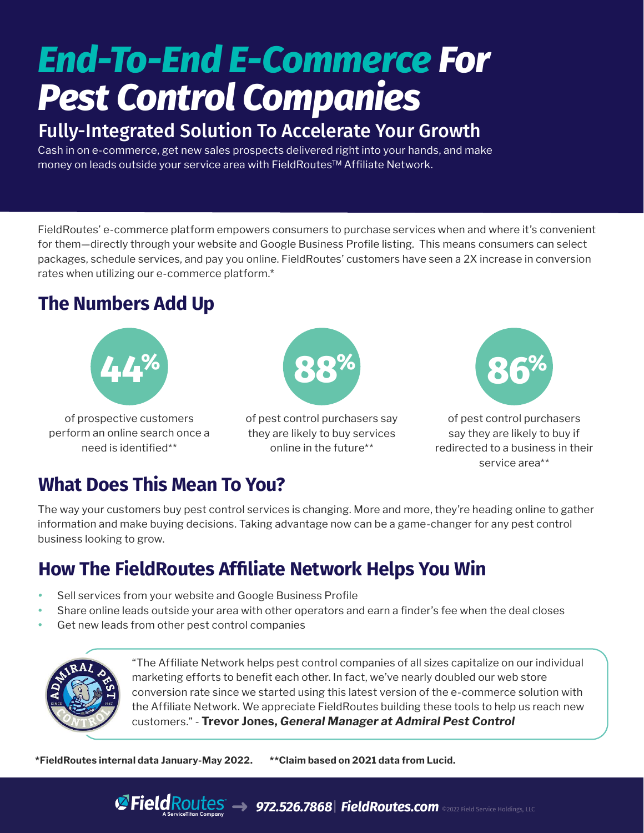# *End-To-End E-Commerce For Pest Control Companies*

#### Fully-Integrated Solution To Accelerate Your Growth

Cash in on e-commerce, get new sales prospects delivered right into your hands, and make money on leads outside your service area with FieldRoutes™ Affiliate Network.

FieldRoutes' e-commerce platform empowers consumers to purchase services when and where it's convenient for them—directly through your website and Google Business Profile listing. This means consumers can select packages, schedule services, and pay you online. FieldRoutes' customers have seen a 2X increase in conversion rates when utilizing our e-commerce platform.\*

### **The Numbers Add Up**



of prospective customers perform an online search once a need is identified\*\*



of pest control purchasers say they are likely to buy services online in the future\*\*



of pest control purchasers say they are likely to buy if redirected to a business in their service area\*\*

#### **What Does This Mean To You?**

The way your customers buy pest control services is changing. More and more, they're heading online to gather information and make buying decisions. Taking advantage now can be a game-changer for any pest control business looking to grow.

### **How The FieldRoutes Affiliate Network Helps You Win**

- *•* Sell services from your website and Google Business Profile
- **•** Share online leads outside your area with other operators and earn a finder's fee when the deal closes
- **•** Get new leads from other pest control companies



"The Affiliate Network helps pest control companies of all sizes capitalize on our individual marketing efforts to benefit each other. In fact, we've nearly doubled our web store conversion rate since we started using this latest version of the e-commerce solution with the Affiliate Network. We appreciate FieldRoutes building these tools to help us reach new customers." - **Trevor Jones,** *General Manager at Admiral Pest Control*

**\*FieldRoutes internal data January-May 2022. \*\*Claim based on 2021 data from Lucid.**